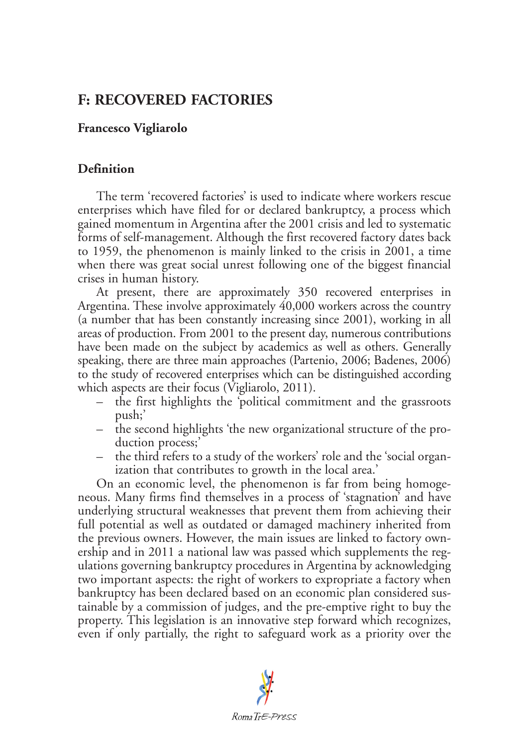# **F: RECOVERED FACTORIES**

## **Francesco Vigliarolo**

## **Definition**

The term 'recovered factories' is used to indicate where workers rescue enterprises which have filed for or declared bankruptcy, a process which gained momentum in Argentina after the 2001 crisis and led to systematic forms of self-management. Although the first recovered factory dates back to 1959, the phenomenon is mainly linked to the crisis in 2001, a time when there was great social unrest following one of the biggest financial crises in human history.

At present, there are approximately 350 recovered enterprises in Argentina. These involve approximately 40,000 workers across the country (a number that has been constantly increasing since 2001), working in all areas of production. From 2001 to the present day, numerous contributions have been made on the subject by academics as well as others. Generally speaking, there are three main approaches (Partenio, 2006; Badenes, 2006) to the study of recovered enterprises which can be distinguished according which aspects are their focus (Vigliarolo, 2011).

- the first highlights the 'political commitment and the grassroots push;'
- the second highlights 'the new organizational structure of the production process;
- the third refers to a study of the workers' role and the 'social organization that contributes to growth in the local area.'

On an economic level, the phenomenon is far from being homogeneous. Many firms find themselves in a process of 'stagnation' and have underlying structural weaknesses that prevent them from achieving their full potential as well as outdated or damaged machinery inherited from the previous owners. However, the main issues are linked to factory ownership and in 2011 a national law was passed which supplements the regulations governing bankruptcy procedures in Argentina by acknowledging two important aspects: the right of workers to expropriate a factory when bankruptcy has been declared based on an economic plan considered sustainable by a commission of judges, and the pre-emptive right to buy the property. This legislation is an innovative step forward which recognizes, even if only partially, the right to safeguard work as a priority over the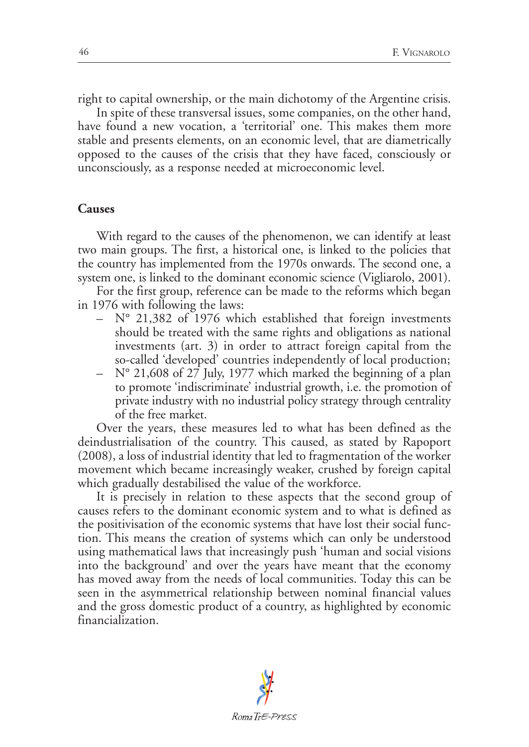right to capital ownership, or the main dichotomy of the Argentine crisis.

In spite of these transversal issues, some companies, on the other hand, have found a new vocation, a 'territorial' one. This makes them more stable and presents elements, on an economic level, that are diametrically opposed to the causes of the crisis that they have faced, consciously or unconsciously, as a response needed at microeconomic level.

### **Causes**

With regard to the causes of the phenomenon, we can identify at least two main groups. The first, a historical one, is linked to the policies that the country has implemented from the 1970s onwards. The second one, a system one, is linked to the dominant economic science (Vigliarolo, 2001).

For the first group, reference can be made to the reforms which began in 1976 with following the laws:

- $-$  N° 21,382 of 1976 which established that foreign investments should be treated with the same rights and obligations as national investments (art. 3) in order to attract foreign capital from the so-called 'developed' countries independently of local production;
- $-$  N° 21,608 of 27 July, 1977 which marked the beginning of a plan to promote 'indiscriminate' industrial growth, i.e. the promotion of private industry with no industrial policy strategy through centrality of the free market.

Over the years, these measures led to what has been defined as the deindustrialisation of the country. This caused, as stated by Rapoport (2008), a loss of industrial identity that led to fragmentation of the worker movement which became increasingly weaker, crushed by foreign capital which gradually destabilised the value of the workforce.

It is precisely in relation to these aspects that the second group of causes refers to the dominant economic system and to what is defined as the positivisation of the economic systems that have lost their social function. This means the creation of systems which can only be understood using mathematical laws that increasingly push 'human and social visions into the background' and over the years have meant that the economy has moved away from the needs of local communities. Today this can be seen in the asymmetrical relationship between nominal financial values and the gross domestic product of a country, as highlighted by economic financialization.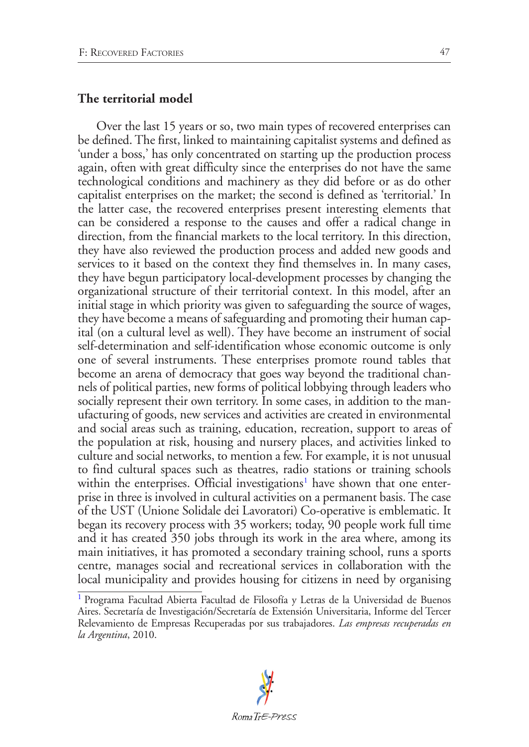### **The territorial model**

Over the last 15 years or so, two main types of recovered enterprises can be defined. The first, linked to maintaining capitalist systems and defined as 'under a boss,' has only concentrated on starting up the production process again, often with great difficulty since the enterprises do not have the same technological conditions and machinery as they did before or as do other capitalist enterprises on the market; the second is defined as 'territorial.' In the latter case, the recovered enterprises present interesting elements that can be considered a response to the causes and offer a radical change in direction, from the financial markets to the local territory. In this direction, they have also reviewed the production process and added new goods and services to it based on the context they find themselves in. In many cases, they have begun participatory local-development processes by changing the organizational structure of their territorial context. In this model, after an initial stage in which priority was given to safeguarding the source of wages, they have become a means of safeguarding and promoting their human capital (on a cultural level as well). They have become an instrument of social self-determination and self-identification whose economic outcome is only one of several instruments. These enterprises promote round tables that become an arena of democracy that goes way beyond the traditional channels of political parties, new forms of political lobbying through leaders who socially represent their own territory. In some cases, in addition to the manufacturing of goods, new services and activities are created in environmental and social areas such as training, education, recreation, support to areas of the population at risk, housing and nursery places, and activities linked to culture and social networks, to mention a few. For example, it is not unusual to find cultural spaces such as theatres, radio stations or training schools within the enterprises. Official investigations<sup>[1](#page-2-0)</sup> have shown that one enterprise in three is involved in cultural activities on a permanent basis. The case of the UST (Unione Solidale dei Lavoratori) Co-operative is emblematic. It began its recovery process with 35 workers; today, 90 people work full time and it has created 350 jobs through its work in the area where, among its main initiatives, it has promoted a secondary training school, runs a sports centre, manages social and recreational services in collaboration with the local municipality and provides housing for citizens in need by organising

<span id="page-2-1"></span><span id="page-2-0"></span>[<sup>1</sup>](#page-2-1) Programa Facultad Abierta Facultad de Filosofía y Letras de la Universidad de Buenos Aires. Secretaría de Investigación/Secretaría de Extensión Universitaria, Informe del Tercer Relevamiento de Empresas Recuperadas por sus trabajadores. *Las empresas recuperadas en la Argentina*, 2010.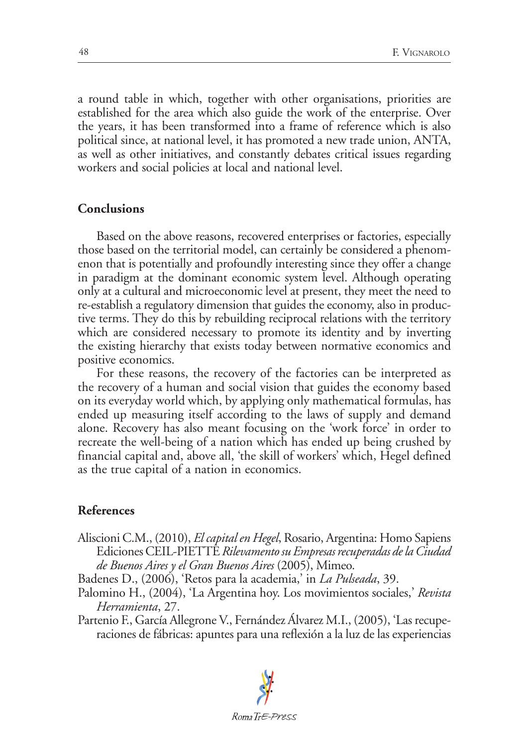a round table in which, together with other organisations, priorities are established for the area which also guide the work of the enterprise. Over the years, it has been transformed into a frame of reference which is also political since, at national level, it has promoted a new trade union, ANTA, as well as other initiatives, and constantly debates critical issues regarding workers and social policies at local and national level.

#### **Conclusions**

Based on the above reasons, recovered enterprises or factories, especially those based on the territorial model, can certainly be considered a phenomenon that is potentially and profoundly interesting since they offer a change in paradigm at the dominant economic system level. Although operating only at a cultural and microeconomic level at present, they meet the need to re-establish a regulatory dimension that guides the economy, also in productive terms. They do this by rebuilding reciprocal relations with the territory which are considered necessary to promote its identity and by inverting the existing hierarchy that exists today between normative economics and positive economics.

For these reasons, the recovery of the factories can be interpreted as the recovery of a human and social vision that guides the economy based on its everyday world which, by applying only mathematical formulas, has ended up measuring itself according to the laws of supply and demand alone. Recovery has also meant focusing on the 'work force' in order to recreate the well-being of a nation which has ended up being crushed by financial capital and, above all, 'the skill of workers' which, Hegel defined as the true capital of a nation in economics.

#### **References**

- Aliscioni C.M., (2010), *El capital en Hegel*, Rosario, Argentina: Homo Sapiens Ediciones CEIL-PIETTE *Rilevamento su Empresas recuperadas de la Ciudad de Buenos Aires y el Gran Buenos Aires* (2005), Mimeo.
- Badenes D., (2006), 'Retos para la academia,' in *La Pulseada*, 39.
- Palomino H., (2004), 'La Argentina hoy. Los movimientos sociales,' *Revista Herramienta*, 27.

Partenio F., García Allegrone V., Fernández Álvarez M.I., (2005), 'Las recuperaciones de fábricas: apuntes para una reflexión a la luz de las experiencias